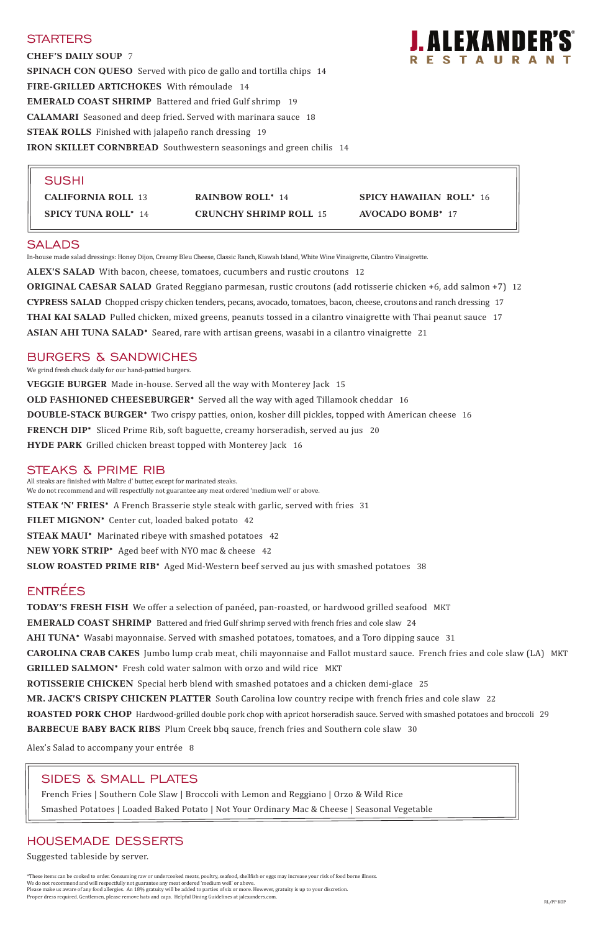## **STARTERS**

**CHEF'S DAILY SOUP** 7 **SPINACH CON QUESO** Served with pico de gallo and tortilla chips 14 **FIRE-GRILLED ARTICHOKES** With rémoulade 14 **EMERALD COAST SHRIMP** Battered and fried Gulf shrimp 19 **CALAMARI** Seasoned and deep fried. Served with marinara sauce 18 **STEAK ROLLS** Finished with jalapeño ranch dressing 19 **IRON SKILLET CORNBREAD** Southwestern seasonings and green chilis 14



**ALEX'S SALAD** With bacon, cheese, tomatoes, cucumbers and rustic croutons 12

**ORIGINAL CAESAR SALAD** Grated Reggiano parmesan, rustic croutons (add rotisserie chicken +6, add salmon +7) 12 **CYPRESS SALAD** Chopped crispy chicken tenders, pecans, avocado, tomatoes, bacon, cheese, croutons and ranch dressing 17 **THAI KAI SALAD** Pulled chicken, mixed greens, peanuts tossed in a cilantro vinaigrette with Thai peanut sauce 17 **ASIAN AHI TUNA SALAD\*** Seared, rare with artisan greens, wasabi in a cilantro vinaigrette 21

### BURGERS & SANDWICHES

We grind fresh chuck daily for our hand-pattied burgers.

**VEGGIE BURGER** Made in-house. Served all the way with Monterey Jack 15 **OLD FASHIONED CHEESEBURGER\*** Served all the way with aged Tillamook cheddar 16 **DOUBLE-STACK BURGER\*** Two crispy patties, onion, kosher dill pickles, topped with American cheese 16 **FRENCH DIP\*** Sliced Prime Rib, soft baguette, creamy horseradish, served au jus20 **HYDE PARK** Grilled chicken breast topped with Monterey Jack 16

### STEAKS & PRIME RIB

All steaks are finished with Maître d' butter, except for marinated steaks. We do not recommend and will respectfully not guarantee any meat ordered 'medium well' or above. **STEAK 'N' FRIES\*** A French Brasserie style steak with garlic, served with fries 31 **FILET MIGNON\*** Center cut, loaded baked potato 42 **STEAK MAUI\*** Marinated ribeye with smashed potatoes 42 **NEW YORK STRIP\*** Aged beef with NYO mac & cheese 42

**SLOW ROASTED PRIME RIB\*** Aged Mid-Western beef served au jus with smashed potatoes 38

## ENTRÉES

# SALADS

In-house made salad dressings: Honey Dijon, Creamy Bleu Cheese, Classic Ranch, Kiawah Island, White Wine Vinaigrette, Cilantro Vinaigrette.

**TODAY'S FRESH FISH** We offer a selection of panéed, pan-roasted, or hardwood grilled seafood MKT **EMERALD COAST SHRIMP** Battered and fried Gulf shrimp served with french fries and cole slaw24 **AHI TUNA\*** Wasabi mayonnaise. Served with smashed potatoes, tomatoes, and a Toro dipping sauce 31 **CAROLINA CRAB CAKES** Jumbo lump crab meat, chili mayonnaise and Fallot mustard sauce. French fries and cole slaw (LA) MKT **GRILLED SALMON\*** Fresh cold water salmon with orzo and wild rice MKT **ROTISSERIE CHICKEN** Special herb blend with smashed potatoes and a chicken demi-glace 25

**MR. JACK'S CRISPY CHICKEN PLATTER** South Carolina low country recipe with french fries and cole slaw 22

**ROASTED PORK CHOP** Hardwood-grilled double pork chop with apricot horseradish sauce. Served with smashed potatoes and broccoli 29 **BARBECUE BABY BACK RIBS** Plum Creek bbq sauce, french fries and Southern cole slaw 30

Alex's Salad to accompany your entrée 8

## HOUSEMADE DESSERTS

Suggested tableside by server.

\*These items can be cooked to order. Consuming raw or undercooked meats, poultry, seafood, shellfish or eggs may increase your risk of food borne illness. We do not recommend and will respectfully not guarantee any meat ordered 'medium well' or above. Please make us aware of any food allergies. An 18% gratuity will be added to parties of six or more. However, gratuity is up to your discretion. Proper dress required. Gentlemen, please remove hats and caps. Helpful Dining Guidelines at jalexanders.com.

### SUSHI

**CALIFORNIA ROLL** 13 **RAINBOW ROLL\*** 14 **SPICY HAWAIIAN ROLL\*** 16 **SPICY TUNA ROLL\*** 14 **CRUNCHY SHRIMP ROLL** 15 **AVOCADO BOMB\*** 17

## SIDES & SMALL PLATES

French Fries | Southern Cole Slaw | Broccoli with Lemon and Reggiano | Orzo & Wild Rice

Smashed Potatoes | Loaded Baked Potato | Not Your Ordinary Mac & Cheese | Seasonal Vegetable